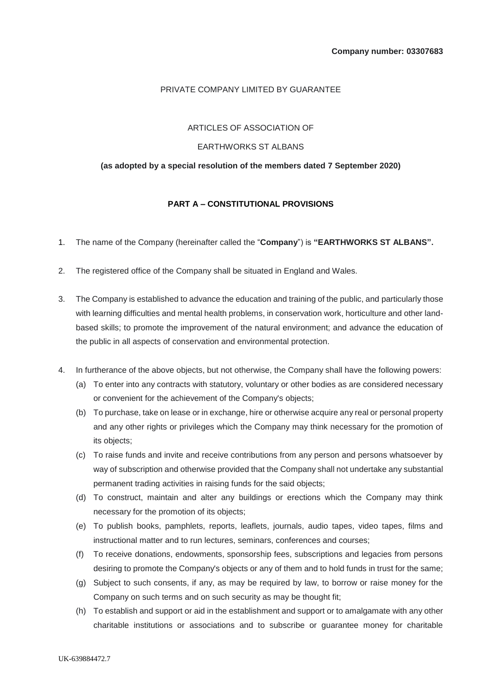# PRIVATE COMPANY LIMITED BY GUARANTEE

#### ARTICLES OF ASSOCIATION OF

### EARTHWORKS ST ALBANS

### **(as adopted by a special resolution of the members dated 7 September 2020)**

## **PART A – CONSTITUTIONAL PROVISIONS**

- 1. The name of the Company (hereinafter called the "**Company**") is **"EARTHWORKS ST ALBANS".**
- 2. The registered office of the Company shall be situated in England and Wales.
- 3. The Company is established to advance the education and training of the public, and particularly those with learning difficulties and mental health problems, in conservation work, horticulture and other landbased skills; to promote the improvement of the natural environment; and advance the education of the public in all aspects of conservation and environmental protection.
- 4. In furtherance of the above objects, but not otherwise, the Company shall have the following powers:
	- (a) To enter into any contracts with statutory, voluntary or other bodies as are considered necessary or convenient for the achievement of the Company's objects;
	- (b) To purchase, take on lease or in exchange, hire or otherwise acquire any real or personal property and any other rights or privileges which the Company may think necessary for the promotion of its objects;
	- (c) To raise funds and invite and receive contributions from any person and persons whatsoever by way of subscription and otherwise provided that the Company shall not undertake any substantial permanent trading activities in raising funds for the said objects;
	- (d) To construct, maintain and alter any buildings or erections which the Company may think necessary for the promotion of its objects;
	- (e) To publish books, pamphlets, reports, leaflets, journals, audio tapes, video tapes, films and instructional matter and to run lectures, seminars, conferences and courses;
	- (f) To receive donations, endowments, sponsorship fees, subscriptions and legacies from persons desiring to promote the Company's objects or any of them and to hold funds in trust for the same;
	- (g) Subject to such consents, if any, as may be required by law, to borrow or raise money for the Company on such terms and on such security as may be thought fit;
	- (h) To establish and support or aid in the establishment and support or to amalgamate with any other charitable institutions or associations and to subscribe or guarantee money for charitable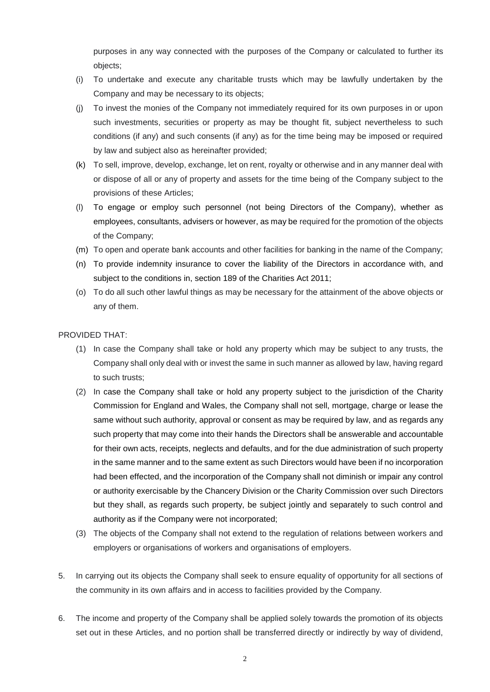purposes in any way connected with the purposes of the Company or calculated to further its objects;

- (i) To undertake and execute any charitable trusts which may be lawfully undertaken by the Company and may be necessary to its objects;
- (j) To invest the monies of the Company not immediately required for its own purposes in or upon such investments, securities or property as may be thought fit, subject nevertheless to such conditions (if any) and such consents (if any) as for the time being may be imposed or required by law and subject also as hereinafter provided;
- (k) To sell, improve, develop, exchange, let on rent, royalty or otherwise and in any manner deal with or dispose of all or any of property and assets for the time being of the Company subject to the provisions of these Articles;
- (l) To engage or employ such personnel (not being Directors of the Company), whether as employees, consultants, advisers or however, as may be required for the promotion of the objects of the Company;
- (m) To open and operate bank accounts and other facilities for banking in the name of the Company;
- (n) To provide indemnity insurance to cover the liability of the Directors in accordance with, and subject to the conditions in, section 189 of the Charities Act 2011;
- (o) To do all such other lawful things as may be necessary for the attainment of the above objects or any of them.

# PROVIDED THAT:

- (1) In case the Company shall take or hold any property which may be subject to any trusts, the Company shall only deal with or invest the same in such manner as allowed by law, having regard to such trusts;
- (2) In case the Company shall take or hold any property subject to the jurisdiction of the Charity Commission for England and Wales, the Company shall not sell, mortgage, charge or lease the same without such authority, approval or consent as may be required by law, and as regards any such property that may come into their hands the Directors shall be answerable and accountable for their own acts, receipts, neglects and defaults, and for the due administration of such property in the same manner and to the same extent as such Directors would have been if no incorporation had been effected, and the incorporation of the Company shall not diminish or impair any control or authority exercisable by the Chancery Division or the Charity Commission over such Directors but they shall, as regards such property, be subject jointly and separately to such control and authority as if the Company were not incorporated;
- (3) The objects of the Company shall not extend to the regulation of relations between workers and employers or organisations of workers and organisations of employers.
- 5. In carrying out its objects the Company shall seek to ensure equality of opportunity for all sections of the community in its own affairs and in access to facilities provided by the Company.
- 6. The income and property of the Company shall be applied solely towards the promotion of its objects set out in these Articles, and no portion shall be transferred directly or indirectly by way of dividend,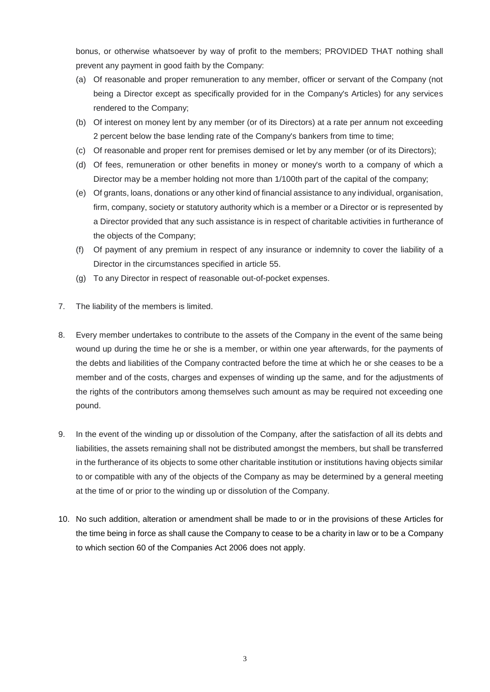bonus, or otherwise whatsoever by way of profit to the members; PROVIDED THAT nothing shall prevent any payment in good faith by the Company:

- (a) Of reasonable and proper remuneration to any member, officer or servant of the Company (not being a Director except as specifically provided for in the Company's Articles) for any services rendered to the Company;
- (b) Of interest on money lent by any member (or of its Directors) at a rate per annum not exceeding 2 percent below the base lending rate of the Company's bankers from time to time;
- (c) Of reasonable and proper rent for premises demised or let by any member (or of its Directors);
- (d) Of fees, remuneration or other benefits in money or money's worth to a company of which a Director may be a member holding not more than 1/100th part of the capital of the company;
- (e) Of grants, loans, donations or any other kind of financial assistance to any individual, organisation, firm, company, society or statutory authority which is a member or a Director or is represented by a Director provided that any such assistance is in respect of charitable activities in furtherance of the objects of the Company;
- (f) Of payment of any premium in respect of any insurance or indemnity to cover the liability of a Director in the circumstances specified in article [55.](#page-13-0)
- (g) To any Director in respect of reasonable out-of-pocket expenses.
- 7. The liability of the members is limited.
- 8. Every member undertakes to contribute to the assets of the Company in the event of the same being wound up during the time he or she is a member, or within one year afterwards, for the payments of the debts and liabilities of the Company contracted before the time at which he or she ceases to be a member and of the costs, charges and expenses of winding up the same, and for the adjustments of the rights of the contributors among themselves such amount as may be required not exceeding one pound.
- 9. In the event of the winding up or dissolution of the Company, after the satisfaction of all its debts and liabilities, the assets remaining shall not be distributed amongst the members, but shall be transferred in the furtherance of its objects to some other charitable institution or institutions having objects similar to or compatible with any of the objects of the Company as may be determined by a general meeting at the time of or prior to the winding up or dissolution of the Company.
- 10. No such addition, alteration or amendment shall be made to or in the provisions of these Articles for the time being in force as shall cause the Company to cease to be a charity in law or to be a Company to which section 60 of the Companies Act 2006 does not apply.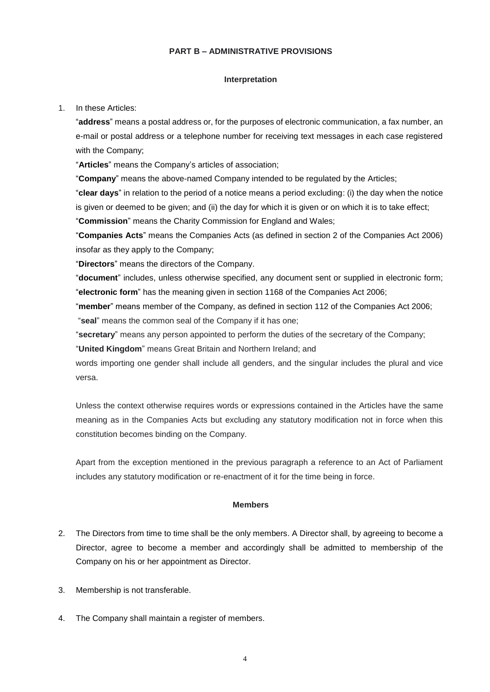### **PART B – ADMINISTRATIVE PROVISIONS**

### **Interpretation**

### 1. In these Articles:

"**address**" means a postal address or, for the purposes of electronic communication, a fax number, an e-mail or postal address or a telephone number for receiving text messages in each case registered with the Company;

"**Articles**" means the Company's articles of association;

"**Company**" means the above-named Company intended to be regulated by the Articles;

"**clear days**" in relation to the period of a notice means a period excluding: (i) the day when the notice is given or deemed to be given; and (ii) the day for which it is given or on which it is to take effect; "**Commission**" means the Charity Commission for England and Wales;

"**Companies Acts**" means the Companies Acts (as defined in section 2 of the Companies Act 2006) insofar as they apply to the Company;

"**Directors**" means the directors of the Company.

"**document**" includes, unless otherwise specified, any document sent or supplied in electronic form; "**electronic form**" has the meaning given in section 1168 of the Companies Act 2006;

"**member**" means member of the Company, as defined in section 112 of the Companies Act 2006; "**seal**" means the common seal of the Company if it has one;

"**secretary**" means any person appointed to perform the duties of the secretary of the Company;

"**United Kingdom**" means Great Britain and Northern Ireland; and

words importing one gender shall include all genders, and the singular includes the plural and vice versa.

Unless the context otherwise requires words or expressions contained in the Articles have the same meaning as in the Companies Acts but excluding any statutory modification not in force when this constitution becomes binding on the Company.

Apart from the exception mentioned in the previous paragraph a reference to an Act of Parliament includes any statutory modification or re-enactment of it for the time being in force.

## **Members**

- 2. The Directors from time to time shall be the only members. A Director shall, by agreeing to become a Director, agree to become a member and accordingly shall be admitted to membership of the Company on his or her appointment as Director.
- 3. Membership is not transferable.
- 4. The Company shall maintain a register of members.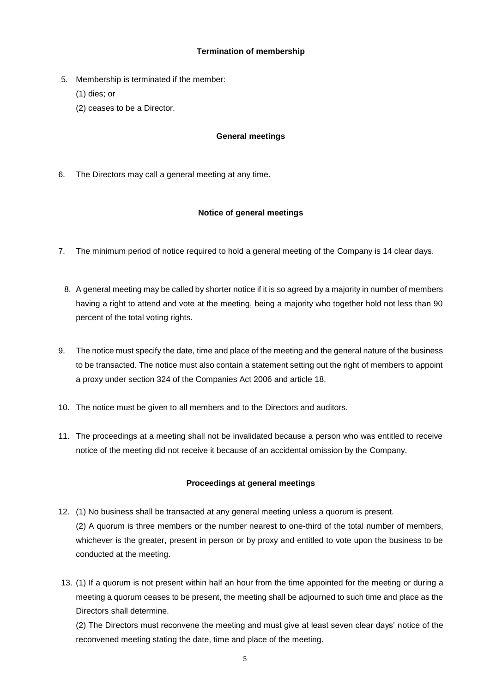# **Termination of membership**

- 5. Membership is terminated if the member:
	- (1) dies; or
	- (2) ceases to be a Director.

## **General meetings**

6. The Directors may call a general meeting at any time.

# **Notice of general meetings**

- 7. The minimum period of notice required to hold a general meeting of the Company is 14 clear days.
	- 8. A general meeting may be called by shorter notice if it is so agreed by a majority in number of members having a right to attend and vote at the meeting, being a majority who together hold not less than 90 percent of the total voting rights.
- 9. The notice must specify the date, time and place of the meeting and the general nature of the business to be transacted. The notice must also contain a statement setting out the right of members to appoint a proxy under section 324 of the Companies Act 2006 and article [18.](#page-6-0)
- 10. The notice must be given to all members and to the Directors and auditors.
- 11. The proceedings at a meeting shall not be invalidated because a person who was entitled to receive notice of the meeting did not receive it because of an accidental omission by the Company.

## **Proceedings at general meetings**

- 12. (1) No business shall be transacted at any general meeting unless a quorum is present. (2) A quorum is three members or the number nearest to one-third of the total number of members, whichever is the greater, present in person or by proxy and entitled to vote upon the business to be conducted at the meeting.
- 13. (1) If a quorum is not present within half an hour from the time appointed for the meeting or during a meeting a quorum ceases to be present, the meeting shall be adjourned to such time and place as the Directors shall determine.

(2) The Directors must reconvene the meeting and must give at least seven clear days' notice of the reconvened meeting stating the date, time and place of the meeting.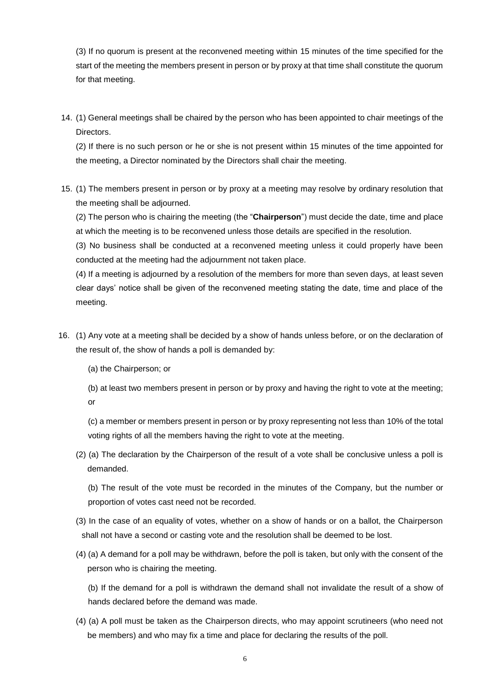(3) If no quorum is present at the reconvened meeting within 15 minutes of the time specified for the start of the meeting the members present in person or by proxy at that time shall constitute the quorum for that meeting.

14. (1) General meetings shall be chaired by the person who has been appointed to chair meetings of the Directors.

(2) If there is no such person or he or she is not present within 15 minutes of the time appointed for the meeting, a Director nominated by the Directors shall chair the meeting.

15. (1) The members present in person or by proxy at a meeting may resolve by ordinary resolution that the meeting shall be adjourned.

(2) The person who is chairing the meeting (the "**Chairperson**") must decide the date, time and place at which the meeting is to be reconvened unless those details are specified in the resolution.

(3) No business shall be conducted at a reconvened meeting unless it could properly have been conducted at the meeting had the adjournment not taken place.

(4) If a meeting is adjourned by a resolution of the members for more than seven days, at least seven clear days' notice shall be given of the reconvened meeting stating the date, time and place of the meeting.

16. (1) Any vote at a meeting shall be decided by a show of hands unless before, or on the declaration of the result of, the show of hands a poll is demanded by:

(a) the Chairperson; or

(b) at least two members present in person or by proxy and having the right to vote at the meeting; or

(c) a member or members present in person or by proxy representing not less than 10% of the total voting rights of all the members having the right to vote at the meeting.

(2) (a) The declaration by the Chairperson of the result of a vote shall be conclusive unless a poll is demanded.

(b) The result of the vote must be recorded in the minutes of the Company, but the number or proportion of votes cast need not be recorded.

(3) In the case of an equality of votes, whether on a show of hands or on a ballot, the Chairperson shall not have a second or casting vote and the resolution shall be deemed to be lost.

(4) (a) A demand for a poll may be withdrawn, before the poll is taken, but only with the consent of the person who is chairing the meeting.

(b) If the demand for a poll is withdrawn the demand shall not invalidate the result of a show of hands declared before the demand was made.

(4) (a) A poll must be taken as the Chairperson directs, who may appoint scrutineers (who need not be members) and who may fix a time and place for declaring the results of the poll.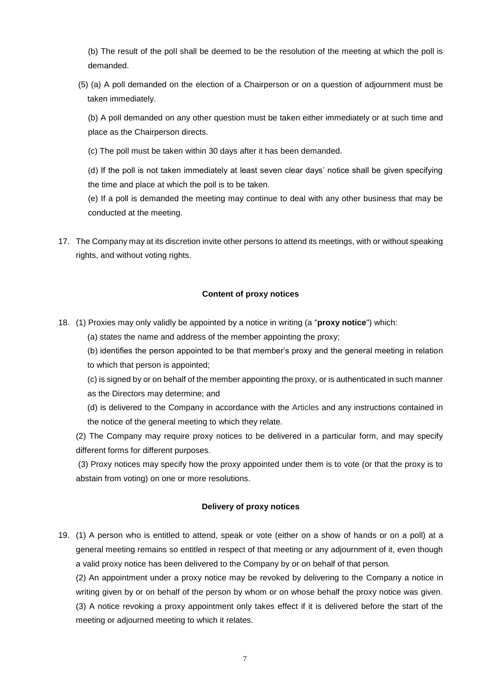(b) The result of the poll shall be deemed to be the resolution of the meeting at which the poll is demanded.

(5) (a) A poll demanded on the election of a Chairperson or on a question of adjournment must be taken immediately.

(b) A poll demanded on any other question must be taken either immediately or at such time and place as the Chairperson directs.

(c) The poll must be taken within 30 days after it has been demanded.

(d) If the poll is not taken immediately at least seven clear days' notice shall be given specifying the time and place at which the poll is to be taken.

(e) If a poll is demanded the meeting may continue to deal with any other business that may be conducted at the meeting.

17. The Company may at its discretion invite other persons to attend its meetings, with or without speaking rights, and without voting rights.

# **Content of proxy notices**

<span id="page-6-0"></span>18. (1) Proxies may only validly be appointed by a notice in writing (a "**proxy notice**") which:

(a) states the name and address of the member appointing the proxy;

(b) identifies the person appointed to be that member's proxy and the general meeting in relation to which that person is appointed;

(c) is signed by or on behalf of the member appointing the proxy, or is authenticated in such manner as the Directors may determine; and

(d) is delivered to the Company in accordance with the Articles and any instructions contained in the notice of the general meeting to which they relate.

(2) The Company may require proxy notices to be delivered in a particular form, and may specify different forms for different purposes.

(3) Proxy notices may specify how the proxy appointed under them is to vote (or that the proxy is to abstain from voting) on one or more resolutions.

# **Delivery of proxy notices**

19. (1) A person who is entitled to attend, speak or vote (either on a show of hands or on a poll) at a general meeting remains so entitled in respect of that meeting or any adjournment of it, even though a valid proxy notice has been delivered to the Company by or on behalf of that person.

(2) An appointment under a proxy notice may be revoked by delivering to the Company a notice in writing given by or on behalf of the person by whom or on whose behalf the proxy notice was given. (3) A notice revoking a proxy appointment only takes effect if it is delivered before the start of the meeting or adjourned meeting to which it relates.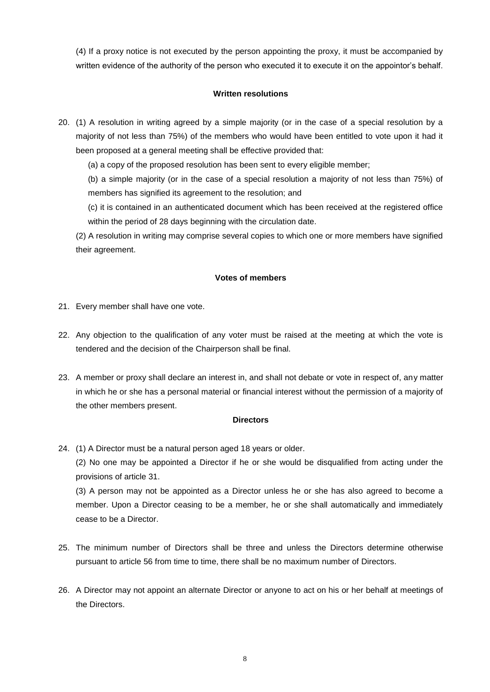(4) If a proxy notice is not executed by the person appointing the proxy, it must be accompanied by written evidence of the authority of the person who executed it to execute it on the appointor's behalf.

## **Written resolutions**

20. (1) A resolution in writing agreed by a simple majority (or in the case of a special resolution by a majority of not less than 75%) of the members who would have been entitled to vote upon it had it been proposed at a general meeting shall be effective provided that:

(a) a copy of the proposed resolution has been sent to every eligible member;

(b) a simple majority (or in the case of a special resolution a majority of not less than 75%) of members has signified its agreement to the resolution; and

(c) it is contained in an authenticated document which has been received at the registered office within the period of 28 days beginning with the circulation date.

(2) A resolution in writing may comprise several copies to which one or more members have signified their agreement.

## **Votes of members**

- 21. Every member shall have one vote.
- 22. Any objection to the qualification of any voter must be raised at the meeting at which the vote is tendered and the decision of the Chairperson shall be final.
- 23. A member or proxy shall declare an interest in, and shall not debate or vote in respect of, any matter in which he or she has a personal material or financial interest without the permission of a majority of the other members present.

## **Directors**

24. (1) A Director must be a natural person aged 18 years or older.

(2) No one may be appointed a Director if he or she would be disqualified from acting under the provisions of article [31.](#page-8-0)

(3) A person may not be appointed as a Director unless he or she has also agreed to become a member. Upon a Director ceasing to be a member, he or she shall automatically and immediately cease to be a Director.

- 25. The minimum number of Directors shall be three and unless the Directors determine otherwise pursuant to article [56](#page-13-1) from time to time, there shall be no maximum number of Directors.
- 26. A Director may not appoint an alternate Director or anyone to act on his or her behalf at meetings of the Directors.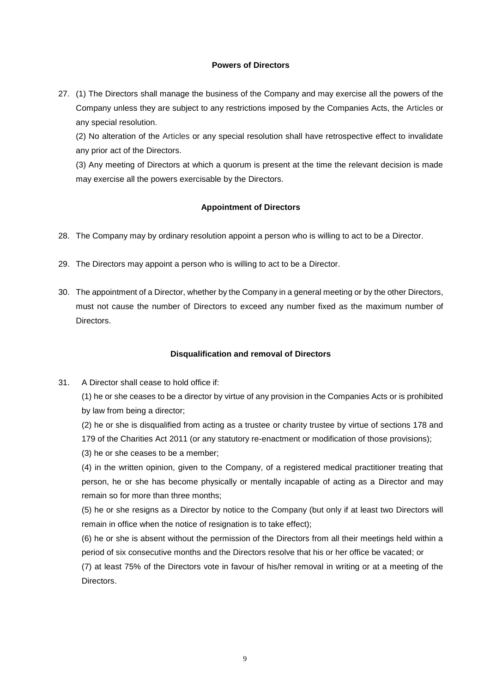## **Powers of Directors**

27. (1) The Directors shall manage the business of the Company and may exercise all the powers of the Company unless they are subject to any restrictions imposed by the Companies Acts, the Articles or any special resolution.

(2) No alteration of the Articles or any special resolution shall have retrospective effect to invalidate any prior act of the Directors.

(3) Any meeting of Directors at which a quorum is present at the time the relevant decision is made may exercise all the powers exercisable by the Directors.

### **Appointment of Directors**

- 28. The Company may by ordinary resolution appoint a person who is willing to act to be a Director.
- 29. The Directors may appoint a person who is willing to act to be a Director.
- 30. The appointment of a Director, whether by the Company in a general meeting or by the other Directors, must not cause the number of Directors to exceed any number fixed as the maximum number of Directors.

#### **Disqualification and removal of Directors**

<span id="page-8-0"></span>31. A Director shall cease to hold office if:

(1) he or she ceases to be a director by virtue of any provision in the Companies Acts or is prohibited by law from being a director;

(2) he or she is disqualified from acting as a trustee or charity trustee by virtue of sections 178 and 179 of the Charities Act 2011 (or any statutory re-enactment or modification of those provisions);

(3) he or she ceases to be a member;

(4) in the written opinion, given to the Company, of a registered medical practitioner treating that person, he or she has become physically or mentally incapable of acting as a Director and may remain so for more than three months;

(5) he or she resigns as a Director by notice to the Company (but only if at least two Directors will remain in office when the notice of resignation is to take effect);

(6) he or she is absent without the permission of the Directors from all their meetings held within a period of six consecutive months and the Directors resolve that his or her office be vacated; or

(7) at least 75% of the Directors vote in favour of his/her removal in writing or at a meeting of the Directors.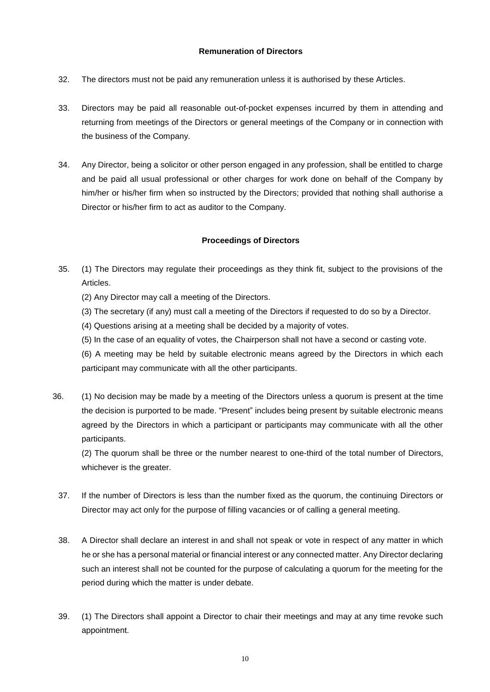## **Remuneration of Directors**

- 32. The directors must not be paid any remuneration unless it is authorised by these Articles.
- 33. Directors may be paid all reasonable out-of-pocket expenses incurred by them in attending and returning from meetings of the Directors or general meetings of the Company or in connection with the business of the Company.
- 34. Any Director, being a solicitor or other person engaged in any profession, shall be entitled to charge and be paid all usual professional or other charges for work done on behalf of the Company by him/her or his/her firm when so instructed by the Directors; provided that nothing shall authorise a Director or his/her firm to act as auditor to the Company.

# **Proceedings of Directors**

- 35. (1) The Directors may regulate their proceedings as they think fit, subject to the provisions of the Articles.
	- (2) Any Director may call a meeting of the Directors.
	- (3) The secretary (if any) must call a meeting of the Directors if requested to do so by a Director.
	- (4) Questions arising at a meeting shall be decided by a majority of votes.
	- (5) In the case of an equality of votes, the Chairperson shall not have a second or casting vote.

(6) A meeting may be held by suitable electronic means agreed by the Directors in which each participant may communicate with all the other participants.

36. (1) No decision may be made by a meeting of the Directors unless a quorum is present at the time the decision is purported to be made. "Present" includes being present by suitable electronic means agreed by the Directors in which a participant or participants may communicate with all the other participants.

(2) The quorum shall be three or the number nearest to one-third of the total number of Directors, whichever is the greater.

- 37. If the number of Directors is less than the number fixed as the quorum, the continuing Directors or Director may act only for the purpose of filling vacancies or of calling a general meeting.
- 38. A Director shall declare an interest in and shall not speak or vote in respect of any matter in which he or she has a personal material or financial interest or any connected matter. Any Director declaring such an interest shall not be counted for the purpose of calculating a quorum for the meeting for the period during which the matter is under debate.
- 39. (1) The Directors shall appoint a Director to chair their meetings and may at any time revoke such appointment.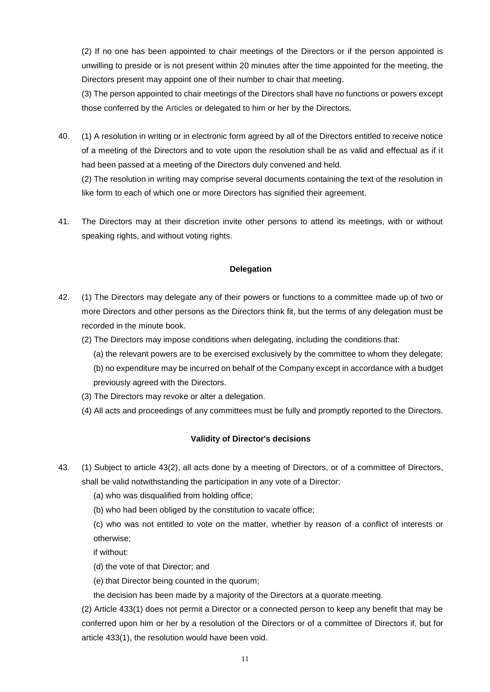(2) If no one has been appointed to chair meetings of the Directors or if the person appointed is unwilling to preside or is not present within 20 minutes after the time appointed for the meeting, the Directors present may appoint one of their number to chair that meeting.

(3) The person appointed to chair meetings of the Directors shall have no functions or powers except those conferred by the Articles or delegated to him or her by the Directors.

40. (1) A resolution in writing or in electronic form agreed by all of the Directors entitled to receive notice of a meeting of the Directors and to vote upon the resolution shall be as valid and effectual as if it had been passed at a meeting of the Directors duly convened and held.

(2) The resolution in writing may comprise several documents containing the text of the resolution in like form to each of which one or more Directors has signified their agreement.

41. The Directors may at their discretion invite other persons to attend its meetings, with or without speaking rights, and without voting rights.

# **Delegation**

- 42. (1) The Directors may delegate any of their powers or functions to a committee made up of two or more Directors and other persons as the Directors think fit, but the terms of any delegation must be recorded in the minute book.
	- (2) The Directors may impose conditions when delegating, including the conditions that:
		- (a) the relevant powers are to be exercised exclusively by the committee to whom they delegate; (b) no expenditure may be incurred on behalf of the Company except in accordance with a budget previously agreed with the Directors.
	- (3) The Directors may revoke or alter a delegation.
	- (4) All acts and proceedings of any committees must be fully and promptly reported to the Directors.

## **Validity of Director's decisions**

- <span id="page-10-0"></span>43. (1) Subject to article 43(2), all acts done by a meeting of Directors, or of a committee of Directors, shall be valid notwithstanding the participation in any vote of a Director:
	- (a) who was disqualified from holding office;
	- (b) who had been obliged by the constitution to vacate office;

(c) who was not entitled to vote on the matter, whether by reason of a conflict of interests or otherwise;

if without:

- (d) the vote of that Director; and
- (e) that Director being counted in the quorum;

the decision has been made by a majority of the Directors at a quorate meeting.

(2) Article [433](#page-10-0)(1) does not permit a Director or a connected person to keep any benefit that may be conferred upon him or her by a resolution of the Directors or of a committee of Directors if, but for article [433](#page-10-0)(1), the resolution would have been void.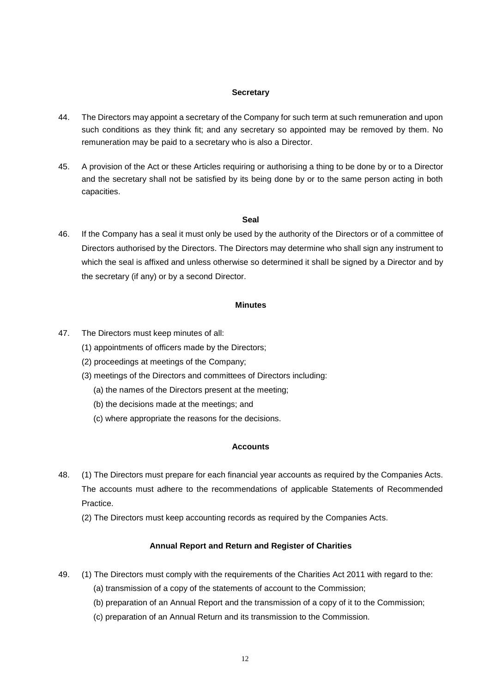#### **Secretary**

- 44. The Directors may appoint a secretary of the Company for such term at such remuneration and upon such conditions as they think fit; and any secretary so appointed may be removed by them. No remuneration may be paid to a secretary who is also a Director.
- 45. A provision of the Act or these Articles requiring or authorising a thing to be done by or to a Director and the secretary shall not be satisfied by its being done by or to the same person acting in both capacities.

#### **Seal**

46. If the Company has a seal it must only be used by the authority of the Directors or of a committee of Directors authorised by the Directors. The Directors may determine who shall sign any instrument to which the seal is affixed and unless otherwise so determined it shall be signed by a Director and by the secretary (if any) or by a second Director.

#### **Minutes**

- 47. The Directors must keep minutes of all:
	- (1) appointments of officers made by the Directors;
	- (2) proceedings at meetings of the Company;
	- (3) meetings of the Directors and committees of Directors including:
		- (a) the names of the Directors present at the meeting;
		- (b) the decisions made at the meetings; and
		- (c) where appropriate the reasons for the decisions.

# **Accounts**

- 48. (1) The Directors must prepare for each financial year accounts as required by the Companies Acts. The accounts must adhere to the recommendations of applicable Statements of Recommended Practice.
	- (2) The Directors must keep accounting records as required by the Companies Acts.

### **Annual Report and Return and Register of Charities**

- 49. (1) The Directors must comply with the requirements of the Charities Act 2011 with regard to the:
	- (a) transmission of a copy of the statements of account to the Commission;
	- (b) preparation of an Annual Report and the transmission of a copy of it to the Commission;
	- (c) preparation of an Annual Return and its transmission to the Commission.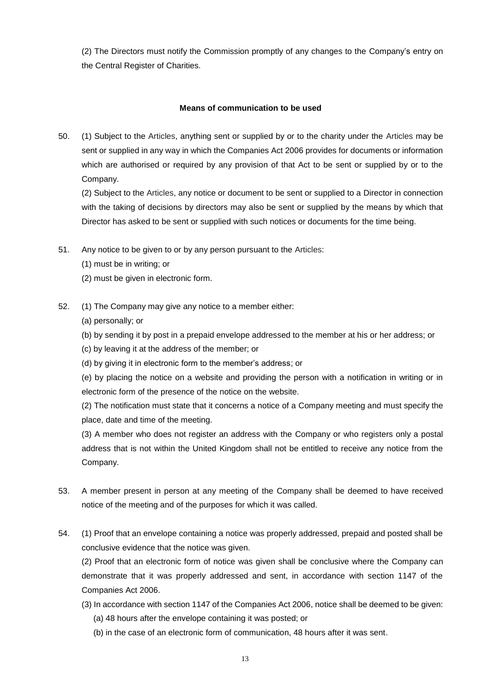(2) The Directors must notify the Commission promptly of any changes to the Company's entry on the Central Register of Charities.

# **Means of communication to be used**

50. (1) Subject to the Articles, anything sent or supplied by or to the charity under the Articles may be sent or supplied in any way in which the Companies Act 2006 provides for documents or information which are authorised or required by any provision of that Act to be sent or supplied by or to the Company.

(2) Subject to the Articles, any notice or document to be sent or supplied to a Director in connection with the taking of decisions by directors may also be sent or supplied by the means by which that Director has asked to be sent or supplied with such notices or documents for the time being.

- 51. Any notice to be given to or by any person pursuant to the Articles:
	- (1) must be in writing; or
	- (2) must be given in electronic form.
- 52. (1) The Company may give any notice to a member either:
	- (a) personally; or
	- (b) by sending it by post in a prepaid envelope addressed to the member at his or her address; or
	- (c) by leaving it at the address of the member; or
	- (d) by giving it in electronic form to the member's address; or

(e) by placing the notice on a website and providing the person with a notification in writing or in electronic form of the presence of the notice on the website.

(2) The notification must state that it concerns a notice of a Company meeting and must specify the place, date and time of the meeting.

(3) A member who does not register an address with the Company or who registers only a postal address that is not within the United Kingdom shall not be entitled to receive any notice from the Company.

- 53. A member present in person at any meeting of the Company shall be deemed to have received notice of the meeting and of the purposes for which it was called.
- 54. (1) Proof that an envelope containing a notice was properly addressed, prepaid and posted shall be conclusive evidence that the notice was given.

(2) Proof that an electronic form of notice was given shall be conclusive where the Company can demonstrate that it was properly addressed and sent, in accordance with section 1147 of the Companies Act 2006.

- (3) In accordance with section 1147 of the Companies Act 2006, notice shall be deemed to be given: (a) 48 hours after the envelope containing it was posted; or
	- (b) in the case of an electronic form of communication, 48 hours after it was sent.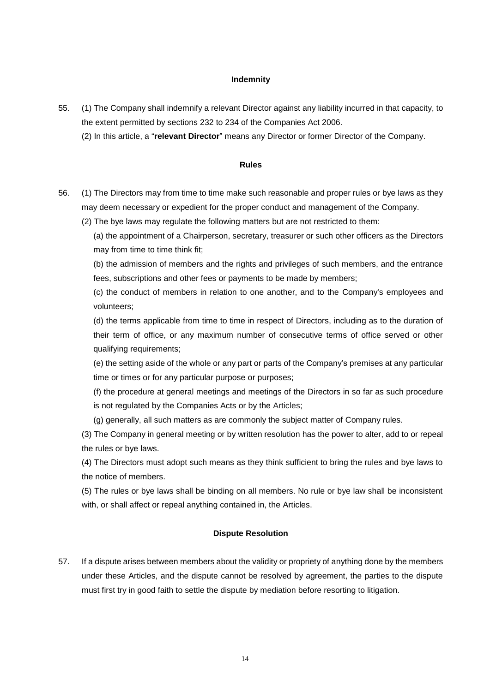### **Indemnity**

- <span id="page-13-0"></span>55. (1) The Company shall indemnify a relevant Director against any liability incurred in that capacity, to the extent permitted by sections 232 to 234 of the Companies Act 2006.
	- (2) In this article, a "**relevant Director**" means any Director or former Director of the Company.

#### **Rules**

- <span id="page-13-1"></span>56. (1) The Directors may from time to time make such reasonable and proper rules or bye laws as they may deem necessary or expedient for the proper conduct and management of the Company.
	- (2) The bye laws may regulate the following matters but are not restricted to them:
		- (a) the appointment of a Chairperson, secretary, treasurer or such other officers as the Directors may from time to time think fit;

(b) the admission of members and the rights and privileges of such members, and the entrance fees, subscriptions and other fees or payments to be made by members;

(c) the conduct of members in relation to one another, and to the Company's employees and volunteers;

(d) the terms applicable from time to time in respect of Directors, including as to the duration of their term of office, or any maximum number of consecutive terms of office served or other qualifying requirements;

(e) the setting aside of the whole or any part or parts of the Company's premises at any particular time or times or for any particular purpose or purposes;

(f) the procedure at general meetings and meetings of the Directors in so far as such procedure is not regulated by the Companies Acts or by the Articles;

(g) generally, all such matters as are commonly the subject matter of Company rules.

(3) The Company in general meeting or by written resolution has the power to alter, add to or repeal the rules or bye laws.

(4) The Directors must adopt such means as they think sufficient to bring the rules and bye laws to the notice of members.

(5) The rules or bye laws shall be binding on all members. No rule or bye law shall be inconsistent with, or shall affect or repeal anything contained in, the Articles.

#### **Dispute Resolution**

57. If a dispute arises between members about the validity or propriety of anything done by the members under these Articles, and the dispute cannot be resolved by agreement, the parties to the dispute must first try in good faith to settle the dispute by mediation before resorting to litigation.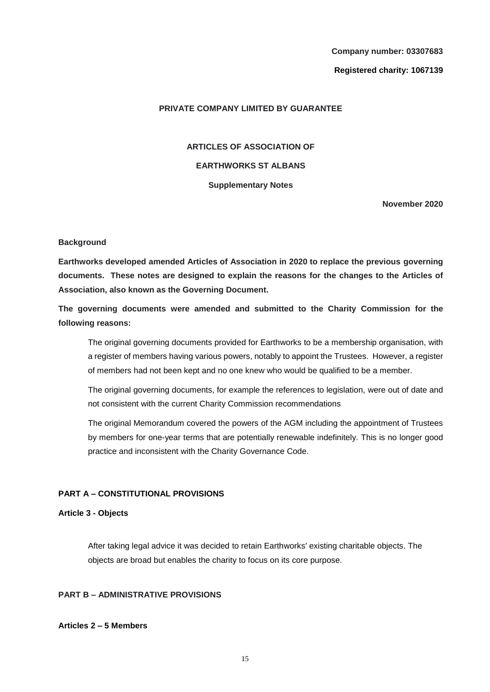**Company number: 03307683 Registered charity: 1067139**

### **PRIVATE COMPANY LIMITED BY GUARANTEE**

**ARTICLES OF ASSOCIATION OF EARTHWORKS ST ALBANS Supplementary Notes**

**November 2020**

#### **Background**

**Earthworks developed amended Articles of Association in 2020 to replace the previous governing documents. These notes are designed to explain the reasons for the changes to the Articles of Association, also known as the Governing Document.**

**The governing documents were amended and submitted to the Charity Commission for the following reasons:**

The original governing documents provided for Earthworks to be a membership organisation, with a register of members having various powers, notably to appoint the Trustees. However, a register of members had not been kept and no one knew who would be qualified to be a member.

The original governing documents, for example the references to legislation, were out of date and not consistent with the current Charity Commission recommendations

The original Memorandum covered the powers of the AGM including the appointment of Trustees by members for one-year terms that are potentially renewable indefinitely. This is no longer good practice and inconsistent with the Charity Governance Code.

#### **PART A – CONSTITUTIONAL PROVISIONS**

### **Article 3 - Objects**

After taking legal advice it was decided to retain Earthworks' existing charitable objects. The objects are broad but enables the charity to focus on its core purpose.

# **PART B – ADMINISTRATIVE PROVISIONS**

### **Articles 2 – 5 Members**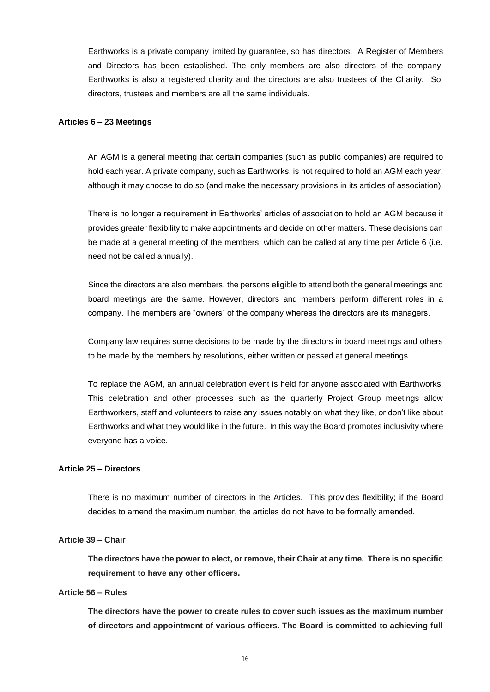Earthworks is a private company limited by guarantee, so has directors. A Register of Members and Directors has been established. The only members are also directors of the company. Earthworks is also a registered charity and the directors are also trustees of the Charity. So, directors, trustees and members are all the same individuals.

#### **Articles 6 – 23 Meetings**

An AGM is a general meeting that certain companies (such as public companies) are required to hold each year. A private company, such as Earthworks, is not required to hold an AGM each year, although it may choose to do so (and make the necessary provisions in its articles of association).

There is no longer a requirement in Earthworks' articles of association to hold an AGM because it provides greater flexibility to make appointments and decide on other matters. These decisions can be made at a general meeting of the members, which can be called at any time per Article 6 (i.e. need not be called annually).

Since the directors are also members, the persons eligible to attend both the general meetings and board meetings are the same. However, directors and members perform different roles in a company. The members are "owners" of the company whereas the directors are its managers.

Company law requires some decisions to be made by the directors in board meetings and others to be made by the members by resolutions, either written or passed at general meetings.

To replace the AGM, an annual celebration event is held for anyone associated with Earthworks. This celebration and other processes such as the quarterly Project Group meetings allow Earthworkers, staff and volunteers to raise any issues notably on what they like, or don't like about Earthworks and what they would like in the future. In this way the Board promotes inclusivity where everyone has a voice.

#### **Article 25 – Directors**

There is no maximum number of directors in the Articles. This provides flexibility; if the Board decides to amend the maximum number, the articles do not have to be formally amended.

### **Article 39 – Chair**

**The directors have the power to elect, or remove, their Chair at any time. There is no specific requirement to have any other officers.**

## **Article 56 – Rules**

**The directors have the power to create rules to cover such issues as the maximum number of directors and appointment of various officers. The Board is committed to achieving full**